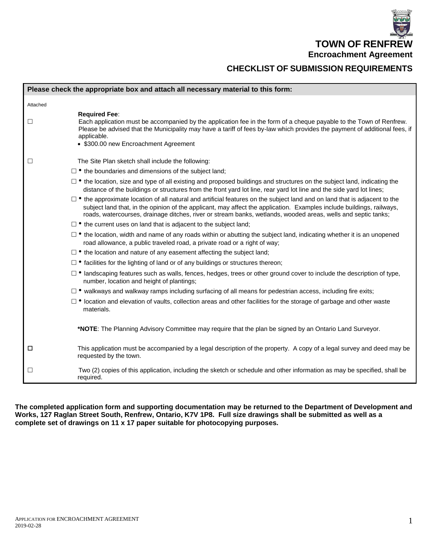**TOWN OF RENFREW Encroachment Agreement**

## **CHECKLIST OF SUBMISSION REQUIREMENTS**

|          | Please check the appropriate box and attach all necessary material to this form:                                                                                                                                                                                                                                                                                           |
|----------|----------------------------------------------------------------------------------------------------------------------------------------------------------------------------------------------------------------------------------------------------------------------------------------------------------------------------------------------------------------------------|
| Attached |                                                                                                                                                                                                                                                                                                                                                                            |
| ⊔        | <b>Required Fee:</b><br>Each application must be accompanied by the application fee in the form of a cheque payable to the Town of Renfrew.<br>Please be advised that the Municipality may have a tariff of fees by-law which provides the payment of additional fees, if<br>applicable.<br>• \$300.00 new Encroachment Agreement                                          |
| Ш        | The Site Plan sketch shall include the following:                                                                                                                                                                                                                                                                                                                          |
|          | $\Box$ • the boundaries and dimensions of the subject land;                                                                                                                                                                                                                                                                                                                |
|          | $\Box$ • the location, size and type of all existing and proposed buildings and structures on the subject land, indicating the<br>distance of the buildings or structures from the front yard lot line, rear yard lot line and the side yard lot lines;                                                                                                                    |
|          | $\Box$ • the approximate location of all natural and artificial features on the subject land and on land that is adjacent to the<br>subject land that, in the opinion of the applicant, may affect the application. Examples include buildings, railways,<br>roads, watercourses, drainage ditches, river or stream banks, wetlands, wooded areas, wells and septic tanks; |
|          | $\Box$ • the current uses on land that is adjacent to the subject land;                                                                                                                                                                                                                                                                                                    |
|          | $\Box$ • the location, width and name of any roads within or abutting the subject land, indicating whether it is an unopened<br>road allowance, a public traveled road, a private road or a right of way;                                                                                                                                                                  |
|          | $\Box$ • the location and nature of any easement affecting the subject land;                                                                                                                                                                                                                                                                                               |
|          | $\Box$ • facilities for the lighting of land or of any buildings or structures thereon;                                                                                                                                                                                                                                                                                    |
|          | $\Box$ • landscaping features such as walls, fences, hedges, trees or other ground cover to include the description of type,<br>number, location and height of plantings;                                                                                                                                                                                                  |
|          | $\Box$ • walkways and walkway ramps including surfacing of all means for pedestrian access, including fire exits;                                                                                                                                                                                                                                                          |
|          | $\Box$ • location and elevation of vaults, collection areas and other facilities for the storage of garbage and other waste<br>materials.                                                                                                                                                                                                                                  |
|          | *NOTE: The Planning Advisory Committee may require that the plan be signed by an Ontario Land Surveyor.                                                                                                                                                                                                                                                                    |
| □        | This application must be accompanied by a legal description of the property. A copy of a legal survey and deed may be<br>requested by the town.                                                                                                                                                                                                                            |
| ⊔        | Two (2) copies of this application, including the sketch or schedule and other information as may be specified, shall be<br>required.                                                                                                                                                                                                                                      |

**The completed application form and supporting documentation may be returned to the Department of Development and Works, 127 Raglan Street South, Renfrew, Ontario, K7V 1P8. Full size drawings shall be submitted as well as a complete set of drawings on 11 x 17 paper suitable for photocopying purposes.**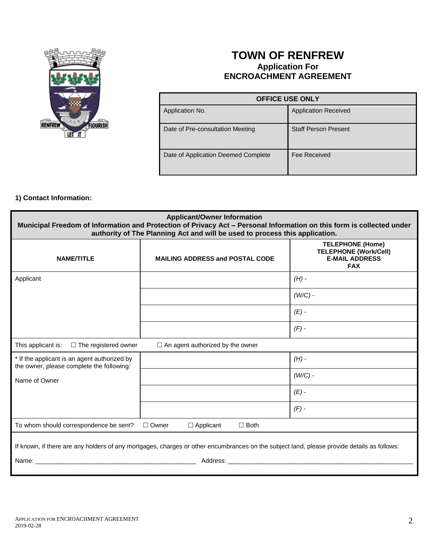

# **TOWN OF RENFREW Application For ENCROACHMENT AGREEMENT**

| <b>OFFICE USE ONLY</b>              |                             |  |
|-------------------------------------|-----------------------------|--|
| Application No.                     | <b>Application Received</b> |  |
| Date of Pre-consultation Meeting    | <b>Staff Person Present</b> |  |
| Date of Application Deemed Complete | Fee Received                |  |

### **1) Contact Information:**

| <b>Applicant/Owner Information</b><br>Municipal Freedom of Information and Protection of Privacy Act - Personal Information on this form is collected under<br>authority of The Planning Act and will be used to process this application. |                                         |                                                                                                |  |  |
|--------------------------------------------------------------------------------------------------------------------------------------------------------------------------------------------------------------------------------------------|-----------------------------------------|------------------------------------------------------------------------------------------------|--|--|
| <b>NAME/TITLE</b>                                                                                                                                                                                                                          | <b>MAILING ADDRESS and POSTAL CODE</b>  | <b>TELEPHONE (Home)</b><br><b>TELEPHONE (Work/Cell)</b><br><b>E-MAIL ADDRESS</b><br><b>FAX</b> |  |  |
| Applicant                                                                                                                                                                                                                                  |                                         | $(H)$ -                                                                                        |  |  |
|                                                                                                                                                                                                                                            |                                         | $(W/C)$ -                                                                                      |  |  |
|                                                                                                                                                                                                                                            |                                         | $(E)$ -                                                                                        |  |  |
|                                                                                                                                                                                                                                            |                                         | $(F)$ -                                                                                        |  |  |
| This applicant is:<br>$\Box$ The registered owner                                                                                                                                                                                          | $\Box$ An agent authorized by the owner |                                                                                                |  |  |
| * If the applicant is an agent authorized by<br>the owner, please complete the following:                                                                                                                                                  |                                         | $(H)$ -                                                                                        |  |  |
| Name of Owner                                                                                                                                                                                                                              |                                         | $(W/C)$ -                                                                                      |  |  |
|                                                                                                                                                                                                                                            |                                         | $(E)$ -                                                                                        |  |  |
|                                                                                                                                                                                                                                            |                                         | $(F)$ -                                                                                        |  |  |
| To whom should correspondence be sent?<br>$\Box$ Owner<br>$\Box$ Applicant<br>$\Box$ Both                                                                                                                                                  |                                         |                                                                                                |  |  |
| If known, if there are any holders of any mortgages, charges or other encumbrances on the subject land, please provide details as follows:                                                                                                 |                                         |                                                                                                |  |  |
| Address:<br>Name:<br>the control of the control of the control of the control of the control of the control of                                                                                                                             |                                         |                                                                                                |  |  |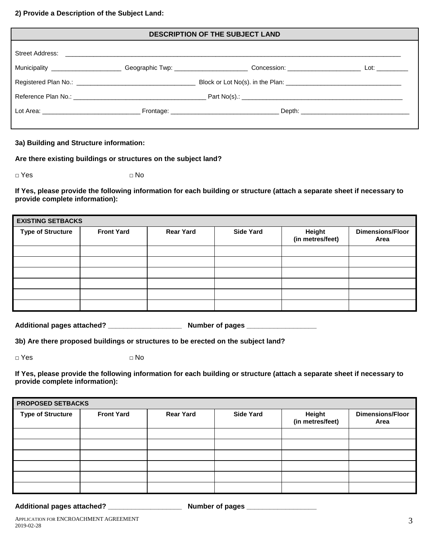#### **2) Provide a Description of the Subject Land:**

| <b>DESCRIPTION OF THE SUBJECT LAND</b> |  |                                                                                                                                        |  |  |
|----------------------------------------|--|----------------------------------------------------------------------------------------------------------------------------------------|--|--|
| Street Address:                        |  |                                                                                                                                        |  |  |
|                                        |  | Municipality _______________________Geographic Twp: __________________________Concession: __________________________Lot: _____________ |  |  |
|                                        |  |                                                                                                                                        |  |  |
|                                        |  |                                                                                                                                        |  |  |
|                                        |  |                                                                                                                                        |  |  |

### **3a) Building and Structure information:**

**Are there existing buildings or structures on the subject land?**

**□** Yes **□** No

**If Yes, please provide the following information for each building or structure (attach a separate sheet if necessary to provide complete information):**

| <b>EXISTING SETBACKS</b> |                   |                  |                  |                            |                                 |
|--------------------------|-------------------|------------------|------------------|----------------------------|---------------------------------|
| <b>Type of Structure</b> | <b>Front Yard</b> | <b>Rear Yard</b> | <b>Side Yard</b> | Height<br>(in metres/feet) | <b>Dimensions/Floor</b><br>Area |
|                          |                   |                  |                  |                            |                                 |
|                          |                   |                  |                  |                            |                                 |
|                          |                   |                  |                  |                            |                                 |
|                          |                   |                  |                  |                            |                                 |
|                          |                   |                  |                  |                            |                                 |
|                          |                   |                  |                  |                            |                                 |

**Additional pages attached? \_\_\_\_\_\_\_\_\_\_\_\_\_\_\_\_\_\_\_ Number of pages \_\_\_\_\_\_\_\_\_\_\_\_\_\_\_\_\_\_**

**3b) Are there proposed buildings or structures to be erected on the subject land?**

**□** Yes **□** No

**If Yes, please provide the following information for each building or structure (attach a separate sheet if necessary to provide complete information):**

| <b>PROPOSED SETBACKS</b> |                   |                  |                  |                            |                                 |
|--------------------------|-------------------|------------------|------------------|----------------------------|---------------------------------|
| <b>Type of Structure</b> | <b>Front Yard</b> | <b>Rear Yard</b> | <b>Side Yard</b> | Height<br>(in metres/feet) | <b>Dimensions/Floor</b><br>Area |
|                          |                   |                  |                  |                            |                                 |
|                          |                   |                  |                  |                            |                                 |
|                          |                   |                  |                  |                            |                                 |
|                          |                   |                  |                  |                            |                                 |
|                          |                   |                  |                  |                            |                                 |
|                          |                   |                  |                  |                            |                                 |

**Additional pages attached? \_\_\_\_\_\_\_\_\_\_\_\_\_\_\_\_\_\_\_ Number of pages \_\_\_\_\_\_\_\_\_\_\_\_\_\_\_\_\_\_**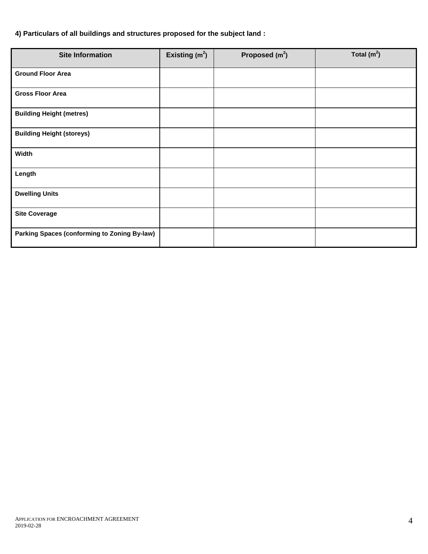### **4) Particulars of all buildings and structures proposed for the subject land :**

| <b>Site Information</b>                             | Existing $(m2)$ | Proposed $(m2)$ | Total $(m2)$ |
|-----------------------------------------------------|-----------------|-----------------|--------------|
| <b>Ground Floor Area</b>                            |                 |                 |              |
| <b>Gross Floor Area</b>                             |                 |                 |              |
| <b>Building Height (metres)</b>                     |                 |                 |              |
| <b>Building Height (storeys)</b>                    |                 |                 |              |
| Width                                               |                 |                 |              |
| Length                                              |                 |                 |              |
| <b>Dwelling Units</b>                               |                 |                 |              |
| <b>Site Coverage</b>                                |                 |                 |              |
| <b>Parking Spaces (conforming to Zoning By-law)</b> |                 |                 |              |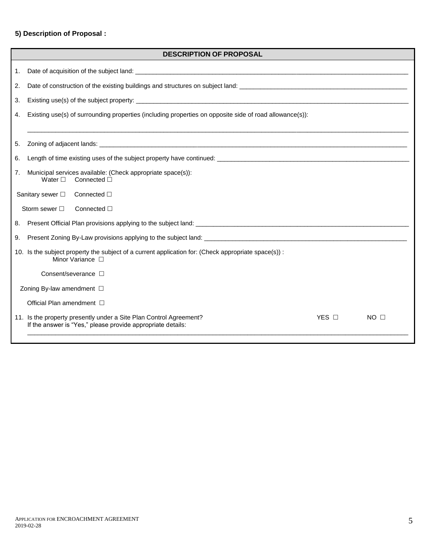### **5) Description of Proposal :**

|                                | <b>DESCRIPTION OF PROPOSAL</b>                                                                                                                                |  |  |  |  |
|--------------------------------|---------------------------------------------------------------------------------------------------------------------------------------------------------------|--|--|--|--|
| 1.                             |                                                                                                                                                               |  |  |  |  |
| 2.                             | Date of construction of the existing buildings and structures on subject land:                                                                                |  |  |  |  |
| 3.                             |                                                                                                                                                               |  |  |  |  |
| 4.                             | Existing use(s) of surrounding properties (including properties on opposite side of road allowance(s)):                                                       |  |  |  |  |
| 5.                             |                                                                                                                                                               |  |  |  |  |
| 6.                             |                                                                                                                                                               |  |  |  |  |
| 7.                             | Municipal services available: (Check appropriate space(s)):<br>Connected $\Box$<br>Water $\square$                                                            |  |  |  |  |
|                                | Sanitary sewer $\Box$<br>Connected $\square$                                                                                                                  |  |  |  |  |
|                                | Storm sewer $\square$<br>Connected $\Box$                                                                                                                     |  |  |  |  |
| 8.                             |                                                                                                                                                               |  |  |  |  |
| 9.                             |                                                                                                                                                               |  |  |  |  |
|                                | 10. Is the subject property the subject of a current application for: (Check appropriate space(s)) :<br>Minor Variance $\Box$                                 |  |  |  |  |
|                                | Consent/severance $\square$                                                                                                                                   |  |  |  |  |
| Zoning By-law amendment $\Box$ |                                                                                                                                                               |  |  |  |  |
|                                | Official Plan amendment □                                                                                                                                     |  |  |  |  |
|                                | YES O<br>11. Is the property presently under a Site Plan Control Agreement?<br>NO <sub>1</sub><br>If the answer is "Yes," please provide appropriate details: |  |  |  |  |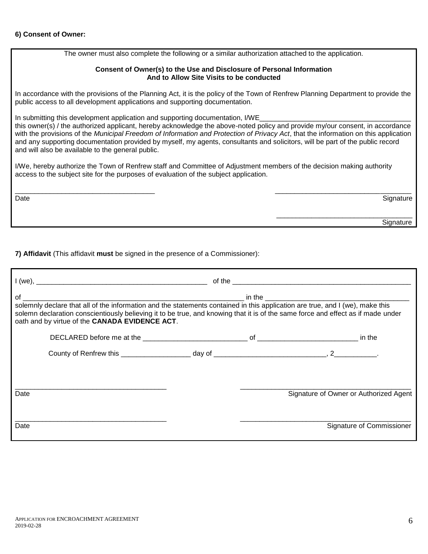### **6) Consent of Owner:**

The owner must also complete the following or a similar authorization attached to the application.

#### **Consent of Owner(s) to the Use and Disclosure of Personal Information And to Allow Site Visits to be conducted**

In accordance with the provisions of the Planning Act, it is the policy of the Town of Renfrew Planning Department to provide the public access to all development applications and supporting documentation.

In submitting this development application and supporting documentation, I/WE

this owner(s) / the authorized applicant, hereby acknowledge the above-noted policy and provide my/our consent, in accordance with the provisions of the *Municipal Freedom of Information and Protection of Privacy Act*, that the information on this application and any supporting documentation provided by myself, my agents, consultants and solicitors, will be part of the public record and will also be available to the general public.

I/We, hereby authorize the Town of Renfrew staff and Committee of Adjustment members of the decision making authority access to the subject site for the purposes of evaluation of the subject application.

\_\_\_\_\_\_\_\_\_\_\_\_\_\_\_\_\_\_\_\_\_\_\_\_\_\_\_\_\_\_\_\_\_\_\_\_ \_\_\_\_\_\_\_\_\_\_\_\_\_\_\_\_\_\_\_\_\_\_\_\_\_\_\_\_\_\_\_\_\_\_\_ Date and the Signature of the Signature of the Signature of the Signature of the Signature of the Signature of the Signature of the Signature of the Signature of the Signature of the Signature of the Signature of the Signa

\_\_\_\_\_\_\_\_\_\_\_\_\_\_\_\_\_\_\_\_\_\_\_\_\_\_\_\_\_\_\_\_\_\_\_ e de la construction de la construction de la construction de la construction de la construction de la construction de la construction de la construction de la construction de la construction de la construction de la const

**7) Affidavit** (This affidavit **must** be signed in the presence of a Commissioner):

| solemn declaration conscientiously believing it to be true, and knowing that it is of the same force and effect as if made under<br>oath and by virtue of the CANADA EVIDENCE ACT. |  |  |                                        |  |
|------------------------------------------------------------------------------------------------------------------------------------------------------------------------------------|--|--|----------------------------------------|--|
|                                                                                                                                                                                    |  |  |                                        |  |
|                                                                                                                                                                                    |  |  |                                        |  |
| Date                                                                                                                                                                               |  |  | Signature of Owner or Authorized Agent |  |
| Date                                                                                                                                                                               |  |  | Signature of Commissioner              |  |